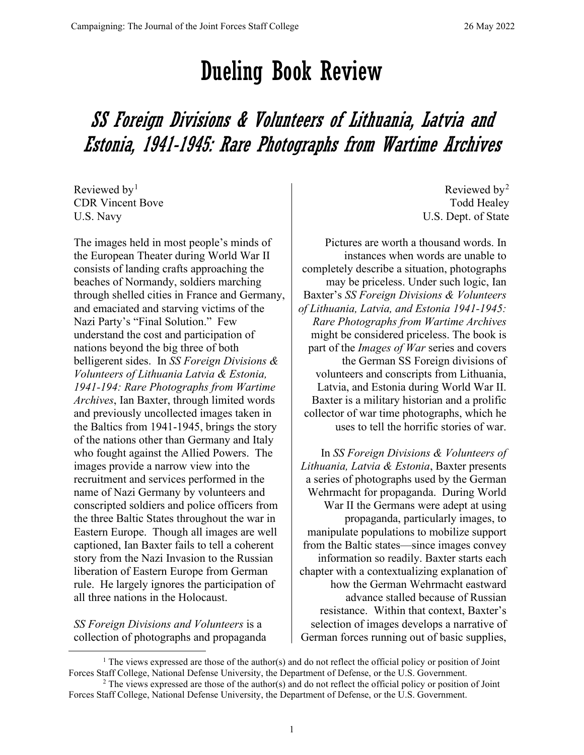## Dueling Book Review

## SS Foreign Divisions & Volunteers of Lithuania, Latvia and Estonia, 1941-1945: Rare Photographs from Wartime Archives

Reviewed by $<sup>1</sup>$  $<sup>1</sup>$  $<sup>1</sup>$ </sup> CDR Vincent Bove U.S. Navy

The images held in most people's minds of the European Theater during World War II consists of landing crafts approaching the beaches of Normandy, soldiers marching through shelled cities in France and Germany, and emaciated and starving victims of the Nazi Party's "Final Solution." Few understand the cost and participation of nations beyond the big three of both belligerent sides. In *SS Foreign Divisions & Volunteers of Lithuania Latvia & Estonia, 1941-194: Rare Photographs from Wartime Archives*, Ian Baxter, through limited words and previously uncollected images taken in the Baltics from 1941-1945, brings the story of the nations other than Germany and Italy who fought against the Allied Powers. The images provide a narrow view into the recruitment and services performed in the name of Nazi Germany by volunteers and conscripted soldiers and police officers from the three Baltic States throughout the war in Eastern Europe. Though all images are well captioned, Ian Baxter fails to tell a coherent story from the Nazi Invasion to the Russian liberation of Eastern Europe from German rule. He largely ignores the participation of all three nations in the Holocaust.

*SS Foreign Divisions and Volunteers* is a collection of photographs and propaganda

Reviewed by<sup>[2](#page-0-1)</sup> Todd Healey U.S. Dept. of State

Pictures are worth a thousand words. In instances when words are unable to completely describe a situation, photographs may be priceless. Under such logic, Ian Baxter's *SS Foreign Divisions & Volunteers of Lithuania, Latvia, and Estonia 1941-1945: Rare Photographs from Wartime Archives* might be considered priceless. The book is part of the *Images of War* series and covers the German SS Foreign divisions of volunteers and conscripts from Lithuania, Latvia, and Estonia during World War II. Baxter is a military historian and a prolific collector of war time photographs, which he uses to tell the horrific stories of war.

In *SS Foreign Divisions & Volunteers of Lithuania, Latvia & Estonia*, Baxter presents a series of photographs used by the German Wehrmacht for propaganda. During World War II the Germans were adept at using propaganda, particularly images, to manipulate populations to mobilize support from the Baltic states—since images convey information so readily. Baxter starts each chapter with a contextualizing explanation of how the German Wehrmacht eastward advance stalled because of Russian resistance. Within that context, Baxter's selection of images develops a narrative of German forces running out of basic supplies,

<span id="page-0-0"></span><sup>1</sup> The views expressed are those of the author(s) and do not reflect the official policy or position of Joint Forces Staff College, National Defense University, the Department of Defense, or the U.S. Government.

<span id="page-0-1"></span><sup>2</sup> The views expressed are those of the author(s) and do not reflect the official policy or position of Joint Forces Staff College, National Defense University, the Department of Defense, or the U.S. Government.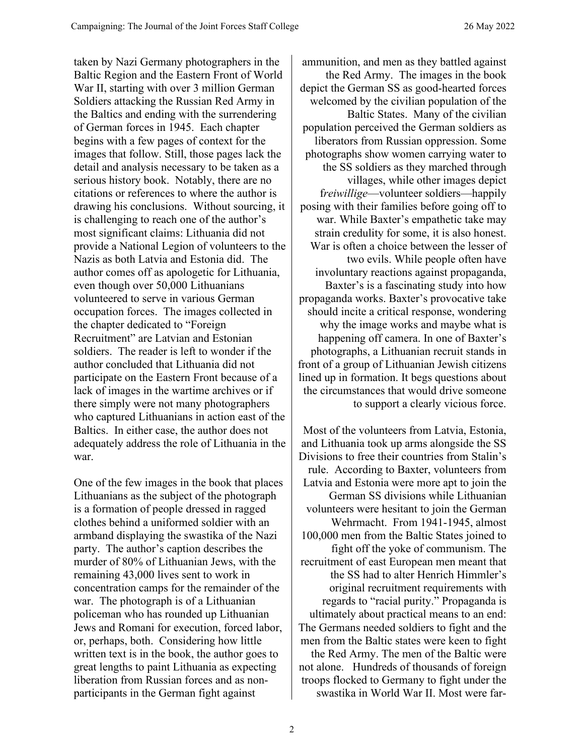taken by Nazi Germany photographers in the Baltic Region and the Eastern Front of World War II, starting with over 3 million German Soldiers attacking the Russian Red Army in the Baltics and ending with the surrendering of German forces in 1945. Each chapter begins with a few pages of context for the images that follow. Still, those pages lack the detail and analysis necessary to be taken as a serious history book. Notably, there are no citations or references to where the author is drawing his conclusions. Without sourcing, it is challenging to reach one of the author's most significant claims: Lithuania did not provide a National Legion of volunteers to the Nazis as both Latvia and Estonia did. The author comes off as apologetic for Lithuania, even though over 50,000 Lithuanians volunteered to serve in various German occupation forces. The images collected in the chapter dedicated to "Foreign Recruitment" are Latvian and Estonian soldiers. The reader is left to wonder if the author concluded that Lithuania did not participate on the Eastern Front because of a lack of images in the wartime archives or if there simply were not many photographers who captured Lithuanians in action east of the Baltics. In either case, the author does not adequately address the role of Lithuania in the war.

One of the few images in the book that places Lithuanians as the subject of the photograph is a formation of people dressed in ragged clothes behind a uniformed soldier with an armband displaying the swastika of the Nazi party. The author's caption describes the murder of 80% of Lithuanian Jews, with the remaining 43,000 lives sent to work in concentration camps for the remainder of the war. The photograph is of a Lithuanian policeman who has rounded up Lithuanian Jews and Romani for execution, forced labor, or, perhaps, both. Considering how little written text is in the book, the author goes to great lengths to paint Lithuania as expecting liberation from Russian forces and as nonparticipants in the German fight against

ammunition, and men as they battled against the Red Army. The images in the book depict the German SS as good-hearted forces welcomed by the civilian population of the Baltic States. Many of the civilian population perceived the German soldiers as liberators from Russian oppression. Some photographs show women carrying water to the SS soldiers as they marched through villages, while other images depict f*reiwillige*—volunteer soldiers—happily posing with their families before going off to war. While Baxter's empathetic take may strain credulity for some, it is also honest. War is often a choice between the lesser of two evils. While people often have involuntary reactions against propaganda, Baxter's is a fascinating study into how propaganda works. Baxter's provocative take should incite a critical response, wondering why the image works and maybe what is happening off camera. In one of Baxter's photographs, a Lithuanian recruit stands in front of a group of Lithuanian Jewish citizens lined up in formation. It begs questions about the circumstances that would drive someone to support a clearly vicious force.

Most of the volunteers from Latvia, Estonia, and Lithuania took up arms alongside the SS Divisions to free their countries from Stalin's rule. According to Baxter, volunteers from Latvia and Estonia were more apt to join the German SS divisions while Lithuanian volunteers were hesitant to join the German Wehrmacht. From 1941-1945, almost 100,000 men from the Baltic States joined to fight off the yoke of communism. The recruitment of east European men meant that the SS had to alter Henrich Himmler's original recruitment requirements with regards to "racial purity." Propaganda is ultimately about practical means to an end: The Germans needed soldiers to fight and the men from the Baltic states were keen to fight the Red Army. The men of the Baltic were not alone. Hundreds of thousands of foreign troops flocked to Germany to fight under the swastika in World War II. Most were far-

2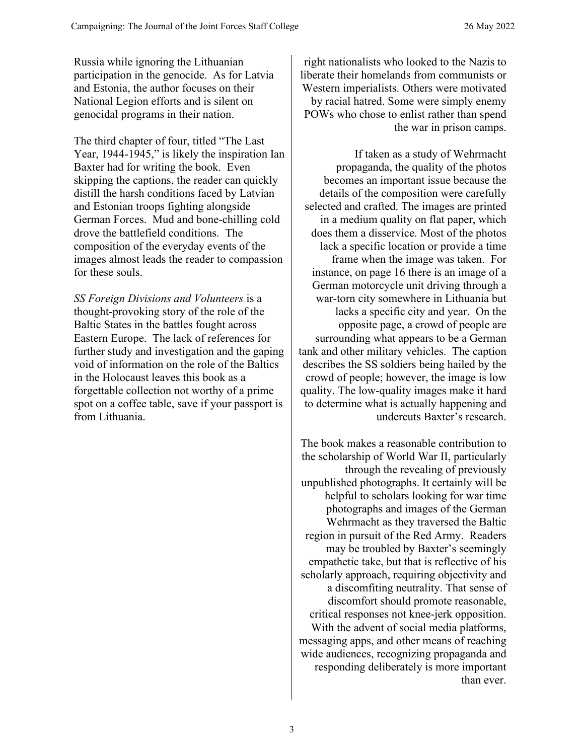Russia while ignoring the Lithuanian participation in the genocide. As for Latvia and Estonia, the author focuses on their National Legion efforts and is silent on genocidal programs in their nation.

The third chapter of four, titled "The Last Year, 1944-1945," is likely the inspiration Ian Baxter had for writing the book. Even skipping the captions, the reader can quickly distill the harsh conditions faced by Latvian and Estonian troops fighting alongside German Forces. Mud and bone-chilling cold drove the battlefield conditions. The composition of the everyday events of the images almost leads the reader to compassion for these souls.

*SS Foreign Divisions and Volunteers* is a thought-provoking story of the role of the Baltic States in the battles fought across Eastern Europe. The lack of references for further study and investigation and the gaping void of information on the role of the Baltics in the Holocaust leaves this book as a forgettable collection not worthy of a prime spot on a coffee table, save if your passport is from Lithuania.

right nationalists who looked to the Nazis to liberate their homelands from communists or Western imperialists. Others were motivated by racial hatred. Some were simply enemy POWs who chose to enlist rather than spend the war in prison camps.

If taken as a study of Wehrmacht propaganda, the quality of the photos becomes an important issue because the details of the composition were carefully selected and crafted. The images are printed in a medium quality on flat paper, which does them a disservice. Most of the photos lack a specific location or provide a time frame when the image was taken. For instance, on page 16 there is an image of a German motorcycle unit driving through a war-torn city somewhere in Lithuania but lacks a specific city and year. On the opposite page, a crowd of people are surrounding what appears to be a German tank and other military vehicles. The caption describes the SS soldiers being hailed by the crowd of people; however, the image is low quality. The low-quality images make it hard to determine what is actually happening and undercuts Baxter's research.

The book makes a reasonable contribution to the scholarship of World War II, particularly through the revealing of previously unpublished photographs. It certainly will be helpful to scholars looking for war time photographs and images of the German Wehrmacht as they traversed the Baltic region in pursuit of the Red Army. Readers may be troubled by Baxter's seemingly empathetic take, but that is reflective of his scholarly approach, requiring objectivity and a discomfiting neutrality. That sense of discomfort should promote reasonable, critical responses not knee-jerk opposition. With the advent of social media platforms, messaging apps, and other means of reaching wide audiences, recognizing propaganda and responding deliberately is more important than ever.